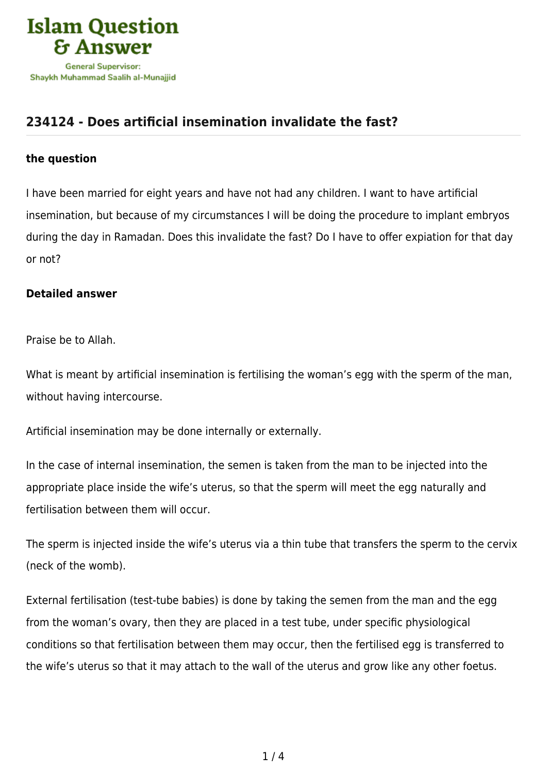

## **[234124 - Does artificial insemination invalidate the fast?](https://islamqa.com/en/answers/234124/does-artificial-insemination-invalidate-the-fast)**

## **the question**

I have been married for eight years and have not had any children. I want to have artificial insemination, but because of my circumstances I will be doing the procedure to implant embryos during the day in Ramadan. Does this invalidate the fast? Do I have to offer expiation for that day or not?

## **Detailed answer**

Praise be to Allah.

What is meant by artificial insemination is fertilising the woman's egg with the sperm of the man, without having intercourse.

Artificial insemination may be done internally or externally.

In the case of internal insemination, the semen is taken from the man to be injected into the appropriate place inside the wife's uterus, so that the sperm will meet the egg naturally and fertilisation between them will occur.

The sperm is injected inside the wife's uterus via a thin tube that transfers the sperm to the cervix (neck of the womb).

External fertilisation (test-tube babies) is done by taking the semen from the man and the egg from the woman's ovary, then they are placed in a test tube, under specific physiological conditions so that fertilisation between them may occur, then the fertilised egg is transferred to the wife's uterus so that it may attach to the wall of the uterus and grow like any other foetus.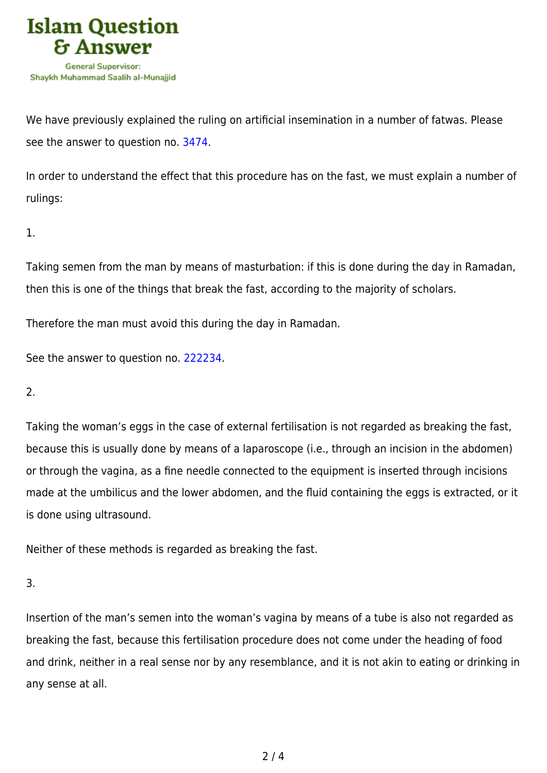

We have previously explained the ruling on artificial insemination in a number of fatwas. Please see the answer to question no. [3474](https://islamqa.com/en/answers/3474).

In order to understand the effect that this procedure has on the fast, we must explain a number of rulings:

1.

Taking semen from the man by means of masturbation: if this is done during the day in Ramadan, then this is one of the things that break the fast, according to the majority of scholars.

Therefore the man must avoid this during the day in Ramadan.

See the answer to question no. [222234](https://islamqa.com/en/answers/222234).

2.

Taking the woman's eggs in the case of external fertilisation is not regarded as breaking the fast, because this is usually done by means of a laparoscope (i.e., through an incision in the abdomen) or through the vagina, as a fine needle connected to the equipment is inserted through incisions made at the umbilicus and the lower abdomen, and the fluid containing the eggs is extracted, or it is done using ultrasound.

Neither of these methods is regarded as breaking the fast.

3.

Insertion of the man's semen into the woman's vagina by means of a tube is also not regarded as breaking the fast, because this fertilisation procedure does not come under the heading of food and drink, neither in a real sense nor by any resemblance, and it is not akin to eating or drinking in any sense at all.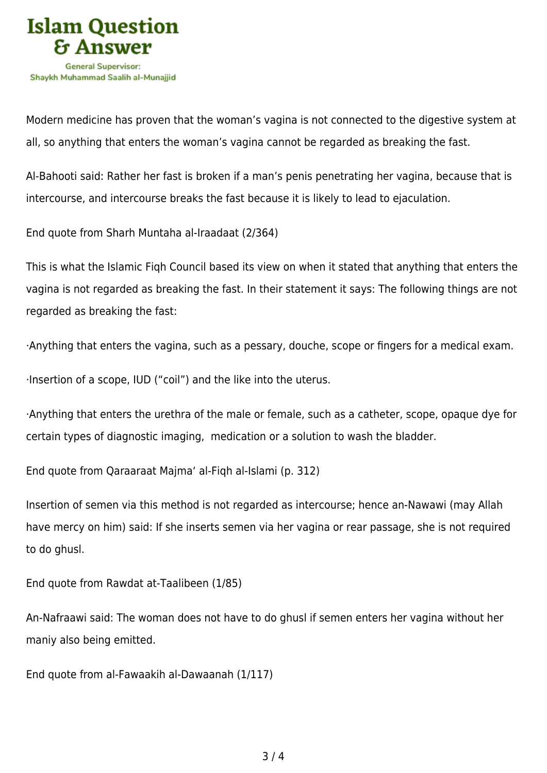

Modern medicine has proven that the woman's vagina is not connected to the digestive system at all, so anything that enters the woman's vagina cannot be regarded as breaking the fast.

Al-Bahooti said: Rather her fast is broken if a man's penis penetrating her vagina, because that is intercourse, and intercourse breaks the fast because it is likely to lead to ejaculation.

End quote from Sharh Muntaha al-Iraadaat (2/364)

This is what the Islamic Fiqh Council based its view on when it stated that anything that enters the vagina is not regarded as breaking the fast. In their statement it says: The following things are not regarded as breaking the fast:

·Anything that enters the vagina, such as a pessary, douche, scope or fingers for a medical exam.

·Insertion of a scope, IUD ("coil") and the like into the uterus.

·Anything that enters the urethra of the male or female, such as a catheter, scope, opaque dye for certain types of diagnostic imaging, medication or a solution to wash the bladder.

End quote from Qaraaraat Majma' al-Fiqh al-Islami (p. 312)

Insertion of semen via this method is not regarded as intercourse; hence an-Nawawi (may Allah have mercy on him) said: If she inserts semen via her vagina or rear passage, she is not required to do ghusl.

End quote from Rawdat at-Taalibeen (1/85)

An-Nafraawi said: The woman does not have to do ghusl if semen enters her vagina without her maniy also being emitted.

End quote from al-Fawaakih al-Dawaanah (1/117)